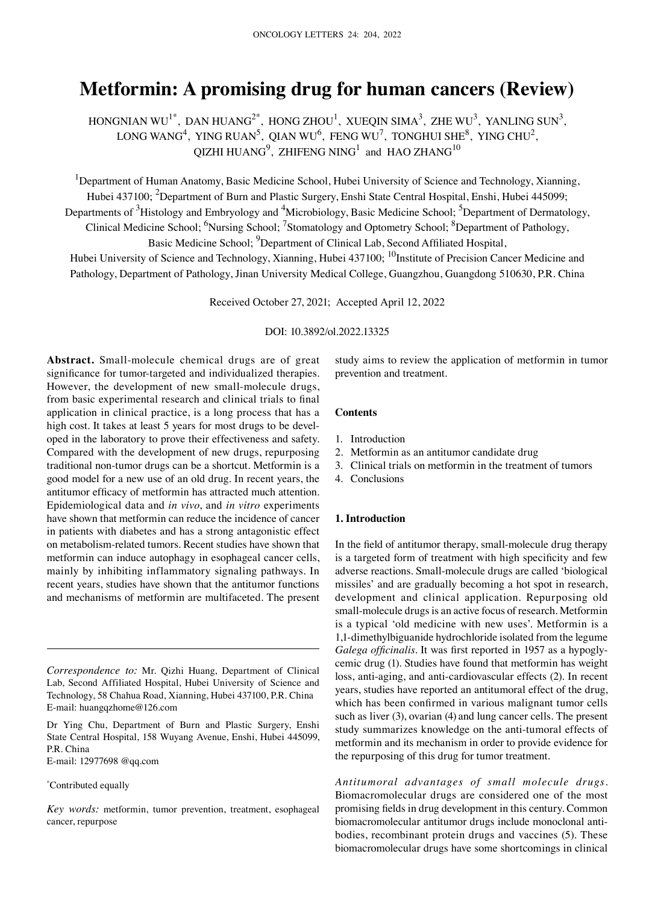# **Metformin: A promising drug for human cancers (Review)**

HONGNIAN WU<sup>1\*</sup>, DAN HUANG<sup>2\*</sup>, HONG ZHOU<sup>1</sup>, XUEQIN SIMA<sup>3</sup>, ZHE WU<sup>3</sup>, YANLING SUN<sup>3</sup>, LONG WANG<sup>4</sup>, YING RUAN<sup>5</sup>, QIAN WU<sup>6</sup>, FENG WU<sup>7</sup>, TONGHUI SHE<sup>8</sup>, YING CHU<sup>2</sup>, QIZHI HUANG $^9$ , ZHIFENG NING<sup>1</sup> and HAO ZHANG<sup>10</sup>

<sup>1</sup>Department of Human Anatomy, Basic Medicine School, Hubei University of Science and Technology, Xianning, Hubei 437100; <sup>2</sup>Department of Burn and Plastic Surgery, Enshi State Central Hospital, Enshi, Hubei 445099; Departments of <sup>3</sup>Histology and Embryology and <sup>4</sup>Microbiology, Basic Medicine School; <sup>5</sup>Department of Dermatology, Clinical Medicine School; <sup>6</sup>Nursing School; <sup>7</sup>Stomatology and Optometry School; <sup>8</sup>Department of Pathology, Basic Medicine School; <sup>9</sup>Department of Clinical Lab, Second Affiliated Hospital,

Hubei University of Science and Technology, Xianning, Hubei 437100; <sup>10</sup>Institute of Precision Cancer Medicine and Pathology, Department of Pathology, Jinan University Medical College, Guangzhou, Guangdong 510630, P.R. China

Received October 27, 2021; Accepted April 12, 2022

DOI: 10.3892/ol.2022.13325

Abstract. Small-molecule chemical drugs are of great significance for tumor-targeted and individualized therapies. However, the development of new small-molecule drugs, from basic experimental research and clinical trials to final application in clinical practice, is a long process that has a high cost. It takes at least 5 years for most drugs to be developed in the laboratory to prove their effectiveness and safety. Compared with the development of new drugs, repurposing traditional non‑tumor drugs can be a shortcut. Metformin is a good model for a new use of an old drug. In recent years, the antitumor efficacy of metformin has attracted much attention. Epidemiological data and *in vivo*, and *in vitro* experiments have shown that metformin can reduce the incidence of cancer in patients with diabetes and has a strong antagonistic effect on metabolism‑related tumors. Recent studies have shown that metformin can induce autophagy in esophageal cancer cells, mainly by inhibiting inflammatory signaling pathways. In recent years, studies have shown that the antitumor functions and mechanisms of metformin are multifaceted. The present

Dr Ying Chu, Department of Burn and Plastic Surgery, Enshi State Central Hospital, 158 Wuyang Avenue, Enshi, Hubei 445099, P.R. China

E‑mail: 12977698 @qq.com

#### \* Contributed equally

*Key words:* metformin, tumor prevention, treatment, esophageal cancer, repurpose

study aims to review the application of metformin in tumor prevention and treatment.

#### **Contents**

- 1. Introduction
- 2. Metformin as an antitumor candidate drug
- 3. Clinical trials on metformin in the treatment of tumors
- 4. Conclusions

# **1. Introduction**

In the field of antitumor therapy, small-molecule drug therapy is a targeted form of treatment with high specificity and few adverse reactions. Small‑molecule drugs are called 'biological missiles' and are gradually becoming a hot spot in research, development and clinical application. Repurposing old small-molecule drugs is an active focus of research. Metformin is a typical 'old medicine with new uses'. Metformin is a 1,1‑dimethylbiguanide hydrochloride isolated from the legume *Galega officinalis*. It was first reported in 1957 as a hypoglycemic drug (1). Studies have found that metformin has weight loss, anti-aging, and anti-cardiovascular effects (2). In recent years, studies have reported an antitumoral effect of the drug, which has been confirmed in various malignant tumor cells such as liver (3), ovarian (4) and lung cancer cells. The present study summarizes knowledge on the anti-tumoral effects of metformin and its mechanism in order to provide evidence for the repurposing of this drug for tumor treatment.

*Antitumoral advantages of small molecule drugs.*  Biomacromolecular drugs are considered one of the most promising fields in drug development in this century. Common biomacromolecular antitumor drugs include monoclonal antibodies, recombinant protein drugs and vaccines (5). These biomacromolecular drugs have some shortcomings in clinical

*Correspondence to:* Mr. Qizhi Huang, Department of Clinical Lab, Second Affiliated Hospital, Hubei University of Science and Technology, 58 Chahua Road, Xianning, Hubei 437100, P.R. China E‑mail: huangqzhome@126.com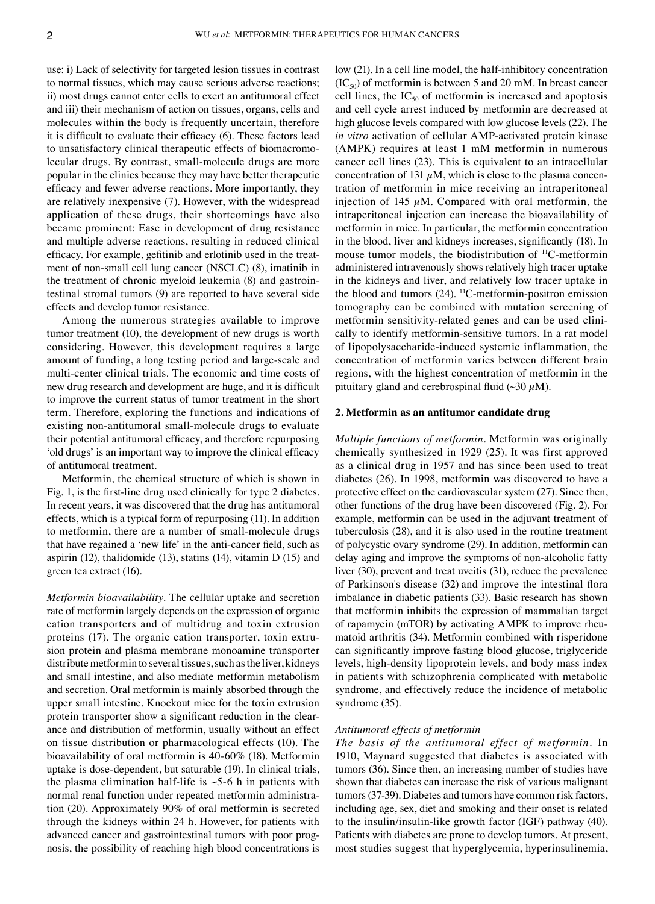use: i) Lack of selectivity for targeted lesion tissues in contrast to normal tissues, which may cause serious adverse reactions; ii) most drugs cannot enter cells to exert an antitumoral effect and iii) their mechanism of action on tissues, organs, cells and molecules within the body is frequently uncertain, therefore it is difficult to evaluate their efficacy (6). These factors lead to unsatisfactory clinical therapeutic effects of biomacromolecular drugs. By contrast, small-molecule drugs are more popular in the clinics because they may have better therapeutic efficacy and fewer adverse reactions. More importantly, they are relatively inexpensive (7). However, with the widespread application of these drugs, their shortcomings have also became prominent: Ease in development of drug resistance and multiple adverse reactions, resulting in reduced clinical efficacy. For example, gefitinib and erlotinib used in the treatment of non-small cell lung cancer (NSCLC) (8), imatinib in the treatment of chronic myeloid leukemia (8) and gastrointestinal stromal tumors (9) are reported to have several side effects and develop tumor resistance.

Among the numerous strategies available to improve tumor treatment (10), the development of new drugs is worth considering. However, this development requires a large amount of funding, a long testing period and large‑scale and multi-center clinical trials. The economic and time costs of new drug research and development are huge, and it is difficult to improve the current status of tumor treatment in the short term. Therefore, exploring the functions and indications of existing non‑antitumoral small‑molecule drugs to evaluate their potential antitumoral efficacy, and therefore repurposing 'old drugs' is an important way to improve the clinical efficacy of antitumoral treatment.

Metformin, the chemical structure of which is shown in Fig. 1, is the first-line drug used clinically for type 2 diabetes. In recent years, it was discovered that the drug has antitumoral effects, which is a typical form of repurposing (11). In addition to metformin, there are a number of small-molecule drugs that have regained a 'new life' in the anti‑cancer field, such as aspirin (12), thalidomide (13), statins (14), vitamin D (15) and green tea extract (16).

*Metformin bioavailability.* The cellular uptake and secretion rate of metformin largely depends on the expression of organic cation transporters and of multidrug and toxin extrusion proteins (17). The organic cation transporter, toxin extrusion protein and plasma membrane monoamine transporter distribute metformin to several tissues, such as the liver, kidneys and small intestine, and also mediate metformin metabolism and secretion. Oral metformin is mainly absorbed through the upper small intestine. Knockout mice for the toxin extrusion protein transporter show a significant reduction in the clearance and distribution of metformin, usually without an effect on tissue distribution or pharmacological effects (10). The bioavailability of oral metformin is 40‑60% (18). Metformin uptake is dose‑dependent, but saturable (19). In clinical trials, the plasma elimination half-life is  $\sim$ 5–6 h in patients with normal renal function under repeated metformin administration (20). Approximately 90% of oral metformin is secreted through the kidneys within 24 h. However, for patients with advanced cancer and gastrointestinal tumors with poor prognosis, the possibility of reaching high blood concentrations is low (21). In a cell line model, the half-inhibitory concentration  $(IC_{50})$  of metformin is between 5 and 20 mM. In breast cancer cell lines, the  $IC_{50}$  of metformin is increased and apoptosis and cell cycle arrest induced by metformin are decreased at high glucose levels compared with low glucose levels (22). The *in vitro* activation of cellular AMP‑activated protein kinase (AMPK) requires at least 1 mM metformin in numerous cancer cell lines (23). This is equivalent to an intracellular concentration of 131  $\mu$ M, which is close to the plasma concentration of metformin in mice receiving an intraperitoneal injection of 145  $\mu$ M. Compared with oral metformin, the intraperitoneal injection can increase the bioavailability of metformin in mice. In particular, the metformin concentration in the blood, liver and kidneys increases, significantly (18). In mouse tumor models, the biodistribution of <sup>11</sup>C-metformin administered intravenously shows relatively high tracer uptake in the kidneys and liver, and relatively low tracer uptake in the blood and tumors  $(24)$ . <sup>11</sup>C-metformin-positron emission tomography can be combined with mutation screening of metformin sensitivity-related genes and can be used clinically to identify metformin‑sensitive tumors. In a rat model of lipopolysaccharide‑induced systemic inflammation, the concentration of metformin varies between different brain regions, with the highest concentration of metformin in the pituitary gland and cerebrospinal fluid  $(\sim 30 \mu M)$ .

#### **2. Metformin as an antitumor candidate drug**

*Multiple functions of metformin.* Metformin was originally chemically synthesized in 1929 (25). It was first approved as a clinical drug in 1957 and has since been used to treat diabetes (26). In 1998, metformin was discovered to have a protective effect on the cardiovascular system (27). Since then, other functions of the drug have been discovered (Fig. 2). For example, metformin can be used in the adjuvant treatment of tuberculosis (28), and it is also used in the routine treatment of polycystic ovary syndrome (29). In addition, metformin can delay aging and improve the symptoms of non‑alcoholic fatty liver (30), prevent and treat uveitis (31), reduce the prevalence of Parkinson's disease (32) and improve the intestinal flora imbalance in diabetic patients (33). Basic research has shown that metformin inhibits the expression of mammalian target of rapamycin (mTOR) by activating AMPK to improve rheumatoid arthritis (34). Metformin combined with risperidone can significantly improve fasting blood glucose, triglyceride levels, high-density lipoprotein levels, and body mass index in patients with schizophrenia complicated with metabolic syndrome, and effectively reduce the incidence of metabolic syndrome (35).

#### *Antitumoral effects of metformin*

*The basis of the antitumoral effect of metformin.* In 1910, Maynard suggested that diabetes is associated with tumors (36). Since then, an increasing number of studies have shown that diabetes can increase the risk of various malignant tumors(37‑39). Diabetes and tumors have common risk factors, including age, sex, diet and smoking and their onset is related to the insulin/insulin-like growth factor (IGF) pathway (40). Patients with diabetes are prone to develop tumors. At present, most studies suggest that hyperglycemia, hyperinsulinemia,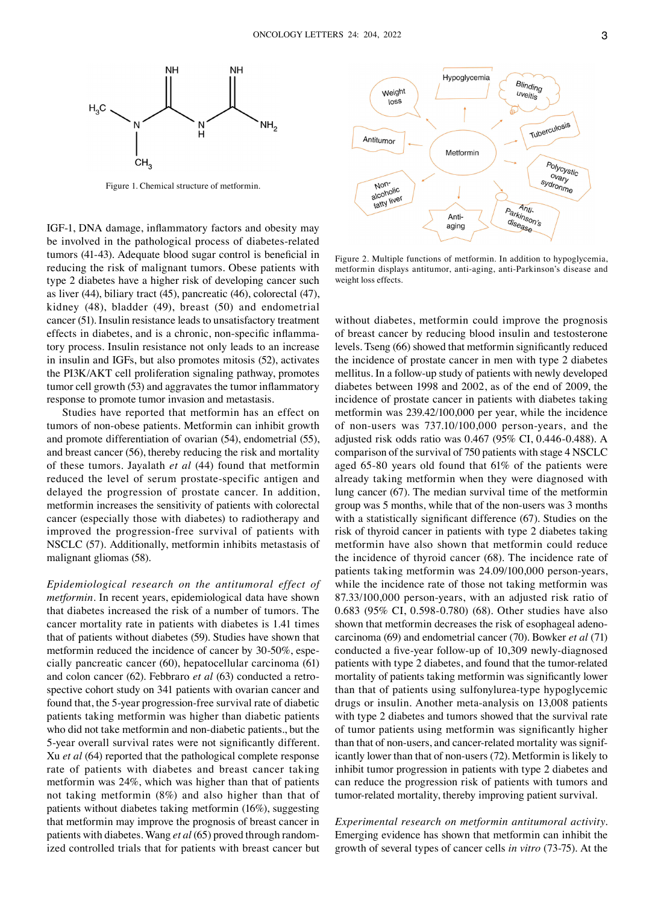

Figure 1. Chemical structure of metformin.

IGF‑1, DNA damage, inflammatory factors and obesity may be involved in the pathological process of diabetes-related tumors (41‑43). Adequate blood sugar control is beneficial in reducing the risk of malignant tumors. Obese patients with type 2 diabetes have a higher risk of developing cancer such as liver (44), biliary tract (45), pancreatic (46), colorectal (47), kidney (48), bladder (49), breast (50) and endometrial cancer (51). Insulin resistance leads to unsatisfactory treatment effects in diabetes, and is a chronic, non-specific inflammatory process. Insulin resistance not only leads to an increase in insulin and IGFs, but also promotes mitosis (52), activates the PI3K/AKT cell proliferation signaling pathway, promotes tumor cell growth (53) and aggravates the tumor inflammatory response to promote tumor invasion and metastasis.

Studies have reported that metformin has an effect on tumors of non‑obese patients. Metformin can inhibit growth and promote differentiation of ovarian (54), endometrial (55), and breast cancer (56), thereby reducing the risk and mortality of these tumors. Jayalath *et al* (44) found that metformin reduced the level of serum prostate‑specific antigen and delayed the progression of prostate cancer. In addition, metformin increases the sensitivity of patients with colorectal cancer (especially those with diabetes) to radiotherapy and improved the progression-free survival of patients with NSCLC (57). Additionally, metformin inhibits metastasis of malignant gliomas (58).

*Epidemiological research on the antitumoral effect of metformin.* In recent years, epidemiological data have shown that diabetes increased the risk of a number of tumors. The cancer mortality rate in patients with diabetes is 1.41 times that of patients without diabetes (59). Studies have shown that metformin reduced the incidence of cancer by 30-50%, especially pancreatic cancer (60), hepatocellular carcinoma (61) and colon cancer (62). Febbraro *et al* (63) conducted a retrospective cohort study on 341 patients with ovarian cancer and found that, the 5‑year progression‑free survival rate of diabetic patients taking metformin was higher than diabetic patients who did not take metformin and non-diabetic patients., but the 5‑year overall survival rates were not significantly different. Xu *et al* (64) reported that the pathological complete response rate of patients with diabetes and breast cancer taking metformin was 24%, which was higher than that of patients not taking metformin (8%) and also higher than that of patients without diabetes taking metformin (16%), suggesting that metformin may improve the prognosis of breast cancer in patients with diabetes. Wang et al (65) proved through randomized controlled trials that for patients with breast cancer but



Figure 2. Multiple functions of metformin. In addition to hypoglycemia, metformin displays antitumor, anti‑aging, anti‑Parkinson's disease and weight loss effects.

without diabetes, metformin could improve the prognosis of breast cancer by reducing blood insulin and testosterone levels. Tseng (66) showed that metformin significantly reduced the incidence of prostate cancer in men with type 2 diabetes mellitus. In a follow‑up study of patients with newly developed diabetes between 1998 and 2002, as of the end of 2009, the incidence of prostate cancer in patients with diabetes taking metformin was 239.42/100,000 per year, while the incidence of non‑users was 737.10/100,000 person‑years, and the adjusted risk odds ratio was 0.467 (95% CI, 0.446‑0.488). A comparison of the survival of 750 patients with stage 4 NSCLC aged 65‑80 years old found that 61% of the patients were already taking metformin when they were diagnosed with lung cancer (67). The median survival time of the metformin group was 5 months, while that of the non‑users was 3 months with a statistically significant difference (67). Studies on the risk of thyroid cancer in patients with type 2 diabetes taking metformin have also shown that metformin could reduce the incidence of thyroid cancer (68). The incidence rate of patients taking metformin was 24.09/100,000 person-years, while the incidence rate of those not taking metformin was 87.33/100,000 person‑years, with an adjusted risk ratio of 0.683 (95% CI, 0.598‑0.780) (68). Other studies have also shown that metformin decreases the risk of esophageal adenocarcinoma (69) and endometrial cancer (70). Bowker *et al* (71) conducted a five‑year follow‑up of 10,309 newly‑diagnosed patients with type 2 diabetes, and found that the tumor-related mortality of patients taking metformin was significantly lower than that of patients using sulfonylurea‑type hypoglycemic drugs or insulin. Another meta‑analysis on 13,008 patients with type 2 diabetes and tumors showed that the survival rate of tumor patients using metformin was significantly higher than that of non-users, and cancer-related mortality was significantly lower than that of non‑users (72). Metformin is likely to inhibit tumor progression in patients with type 2 diabetes and can reduce the progression risk of patients with tumors and tumor-related mortality, thereby improving patient survival.

*Experimental research on metformin antitumoral activity.*  Emerging evidence has shown that metformin can inhibit the growth of several types of cancer cells *in vitro* (73‑75). At the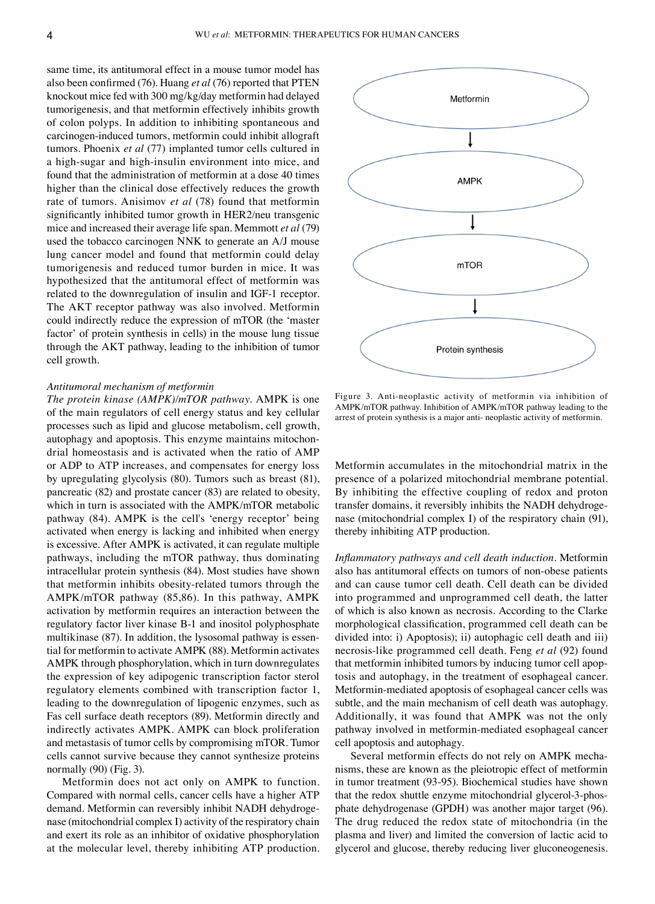same time, its antitumoral effect in a mouse tumor model has also been confirmed (76). Huang *et al* (76) reported that PTEN knockout mice fed with 300 mg/kg/day metformin had delayed tumorigenesis, and that metformin effectively inhibits growth of colon polyps. In addition to inhibiting spontaneous and carcinogen‑induced tumors, metformin could inhibit allograft tumors. Phoenix *et al* (77) implanted tumor cells cultured in a high-sugar and high-insulin environment into mice, and found that the administration of metformin at a dose 40 times higher than the clinical dose effectively reduces the growth rate of tumors. Anisimov *et al* (78) found that metformin significantly inhibited tumor growth in HER2/neu transgenic mice and increased their average life span. Memmott *et al* (79) used the tobacco carcinogen NNK to generate an A/J mouse lung cancer model and found that metformin could delay tumorigenesis and reduced tumor burden in mice. It was hypothesized that the antitumoral effect of metformin was related to the downregulation of insulin and IGF‑1 receptor. The AKT receptor pathway was also involved. Metformin could indirectly reduce the expression of mTOR (the 'master factor' of protein synthesis in cells) in the mouse lung tissue through the AKT pathway, leading to the inhibition of tumor cell growth.

# *Antitumoral mechanism of metformin*

*The protein kinase (AMPK)/mTOR pathway.* AMPK is one of the main regulators of cell energy status and key cellular processes such as lipid and glucose metabolism, cell growth, autophagy and apoptosis. This enzyme maintains mitochondrial homeostasis and is activated when the ratio of AMP or ADP to ATP increases, and compensates for energy loss by upregulating glycolysis (80). Tumors such as breast (81), pancreatic (82) and prostate cancer (83) are related to obesity, which in turn is associated with the AMPK/mTOR metabolic pathway (84). AMPK is the cell's 'energy receptor' being activated when energy is lacking and inhibited when energy is excessive. After AMPK is activated, it can regulate multiple pathways, including the mTOR pathway, thus dominating intracellular protein synthesis (84). Most studies have shown that metformin inhibits obesity‑related tumors through the AMPK/mTOR pathway (85,86). In this pathway, AMPK activation by metformin requires an interaction between the regulatory factor liver kinase B‑1 and inositol polyphosphate multikinase (87). In addition, the lysosomal pathway is essential for metformin to activate AMPK (88). Metformin activates AMPK through phosphorylation, which in turn downregulates the expression of key adipogenic transcription factor sterol regulatory elements combined with transcription factor 1, leading to the downregulation of lipogenic enzymes, such as Fas cell surface death receptors (89). Metformin directly and indirectly activates AMPK. AMPK can block proliferation and metastasis of tumor cells by compromising mTOR. Tumor cells cannot survive because they cannot synthesize proteins normally (90) (Fig. 3).

Metformin does not act only on AMPK to function. Compared with normal cells, cancer cells have a higher ATP demand. Metformin can reversibly inhibit NADH dehydrogenase (mitochondrial complex I) activity of the respiratory chain and exert its role as an inhibitor of oxidative phosphorylation at the molecular level, thereby inhibiting ATP production.



Figure 3. Anti‑neoplastic activity of metformin via inhibition of AMPK/mTOR pathway. Inhibition of AMPK/mTOR pathway leading to the arrest of protein synthesis is a major anti‑ neoplastic activity of metformin.

Metformin accumulates in the mitochondrial matrix in the presence of a polarized mitochondrial membrane potential. By inhibiting the effective coupling of redox and proton transfer domains, it reversibly inhibits the NADH dehydrogenase (mitochondrial complex I) of the respiratory chain (91), thereby inhibiting ATP production.

*Inflammatory pathways and cell death induction.* Metformin also has antitumoral effects on tumors of non‑obese patients and can cause tumor cell death. Cell death can be divided into programmed and unprogrammed cell death, the latter of which is also known as necrosis. According to the Clarke morphological classification, programmed cell death can be divided into: i) Apoptosis); ii) autophagic cell death and iii) necrosis‑like programmed cell death. Feng *et al* (92) found that metformin inhibited tumors by inducing tumor cell apoptosis and autophagy, in the treatment of esophageal cancer. Metformin‑mediated apoptosis of esophageal cancer cells was subtle, and the main mechanism of cell death was autophagy. Additionally, it was found that AMPK was not the only pathway involved in metformin‑mediated esophageal cancer cell apoptosis and autophagy.

Several metformin effects do not rely on AMPK mechanisms, these are known as the pleiotropic effect of metformin in tumor treatment (93‑95). Biochemical studies have shown that the redox shuttle enzyme mitochondrial glycerol-3-phosphate dehydrogenase (GPDH) was another major target (96). The drug reduced the redox state of mitochondria (in the plasma and liver) and limited the conversion of lactic acid to glycerol and glucose, thereby reducing liver gluconeogenesis.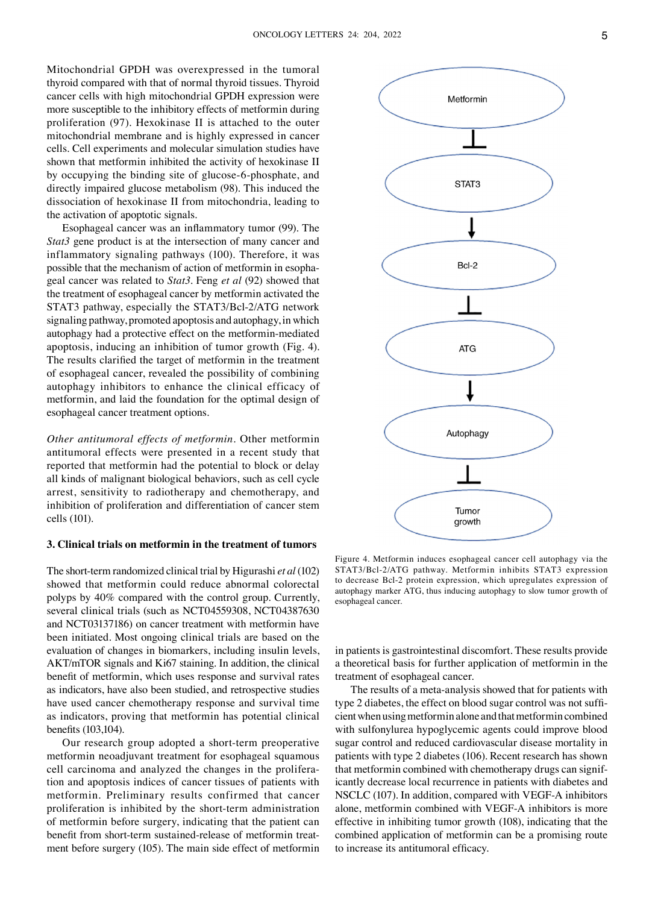Mitochondrial GPDH was overexpressed in the tumoral thyroid compared with that of normal thyroid tissues. Thyroid cancer cells with high mitochondrial GPDH expression were more susceptible to the inhibitory effects of metformin during proliferation (97). Hexokinase II is attached to the outer mitochondrial membrane and is highly expressed in cancer cells. Cell experiments and molecular simulation studies have shown that metformin inhibited the activity of hexokinase II by occupying the binding site of glucose-6-phosphate, and directly impaired glucose metabolism (98). This induced the dissociation of hexokinase II from mitochondria, leading to the activation of apoptotic signals.

Esophageal cancer was an inflammatory tumor (99). The *Stat3* gene product is at the intersection of many cancer and inflammatory signaling pathways (100). Therefore, it was possible that the mechanism of action of metformin in esophageal cancer was related to *Stat3*. Feng *et al* (92) showed that the treatment of esophageal cancer by metformin activated the STAT3 pathway, especially the STAT3/Bcl-2/ATG network signaling pathway, promoted apoptosis and autophagy, in which autophagy had a protective effect on the metformin‑mediated apoptosis, inducing an inhibition of tumor growth (Fig. 4). The results clarified the target of metformin in the treatment of esophageal cancer, revealed the possibility of combining autophagy inhibitors to enhance the clinical efficacy of metformin, and laid the foundation for the optimal design of esophageal cancer treatment options.

*Other antitumoral effects of metformin.* Other metformin antitumoral effects were presented in a recent study that reported that metformin had the potential to block or delay all kinds of malignant biological behaviors, such as cell cycle arrest, sensitivity to radiotherapy and chemotherapy, and inhibition of proliferation and differentiation of cancer stem cells (101).

#### **3. Clinical trials on metformin in the treatment of tumors**

The short‑term randomized clinical trial by Higurashi *et al* (102) showed that metformin could reduce abnormal colorectal polyps by 40% compared with the control group. Currently, several clinical trials (such as NCT04559308, NCT04387630 and NCT03137186) on cancer treatment with metformin have been initiated. Most ongoing clinical trials are based on the evaluation of changes in biomarkers, including insulin levels, AKT/mTOR signals and Ki67 staining. In addition, the clinical benefit of metformin, which uses response and survival rates as indicators, have also been studied, and retrospective studies have used cancer chemotherapy response and survival time as indicators, proving that metformin has potential clinical benefits (103,104).

Our research group adopted a short-term preoperative metformin neoadjuvant treatment for esophageal squamous cell carcinoma and analyzed the changes in the proliferation and apoptosis indices of cancer tissues of patients with metformin. Preliminary results confirmed that cancer proliferation is inhibited by the short‑term administration of metformin before surgery, indicating that the patient can benefit from short-term sustained-release of metformin treatment before surgery (105). The main side effect of metformin



Figure 4. Metformin induces esophageal cancer cell autophagy via the STAT3/Bcl-2/ATG pathway. Metformin inhibits STAT3 expression to decrease Bcl‑2 protein expression, which upregulates expression of autophagy marker ATG, thus inducing autophagy to slow tumor growth of esophageal cancer.

in patients is gastrointestinal discomfort. These results provide a theoretical basis for further application of metformin in the treatment of esophageal cancer.

The results of a meta-analysis showed that for patients with type 2 diabetes, the effect on blood sugar control was not sufficient when using metformin alone and that metformin combined with sulfonylurea hypoglycemic agents could improve blood sugar control and reduced cardiovascular disease mortality in patients with type 2 diabetes (106). Recent research has shown that metformin combined with chemotherapy drugs can significantly decrease local recurrence in patients with diabetes and NSCLC (107). In addition, compared with VEGF‑A inhibitors alone, metformin combined with VEGF‑A inhibitors is more effective in inhibiting tumor growth (108), indicating that the combined application of metformin can be a promising route to increase its antitumoral efficacy.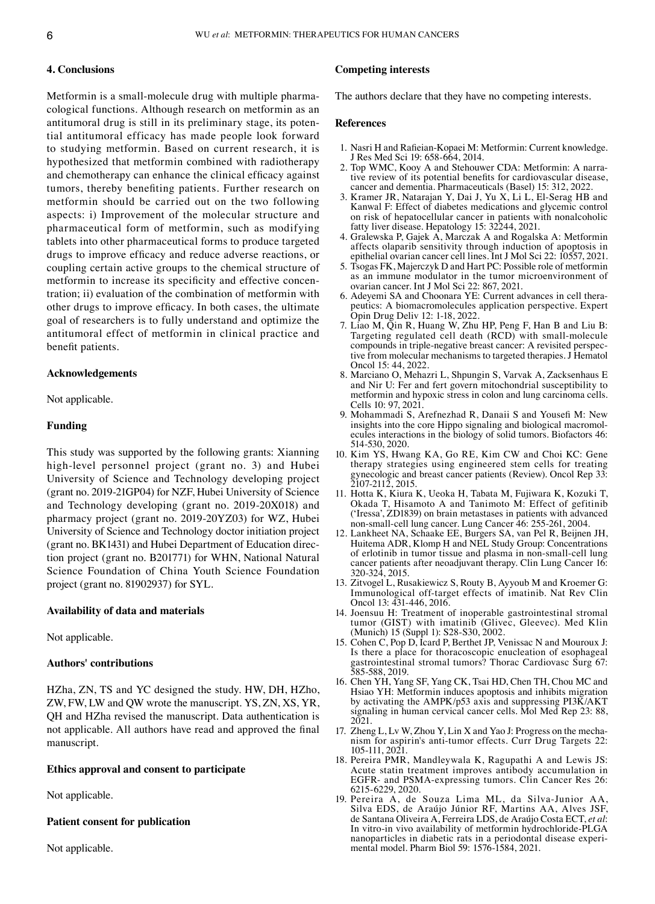#### **4. Conclusions**

Metformin is a small-molecule drug with multiple pharmacological functions. Although research on metformin as an antitumoral drug is still in its preliminary stage, its potential antitumoral efficacy has made people look forward to studying metformin. Based on current research, it is hypothesized that metformin combined with radiotherapy and chemotherapy can enhance the clinical efficacy against tumors, thereby benefiting patients. Further research on metformin should be carried out on the two following aspects: i) Improvement of the molecular structure and pharmaceutical form of metformin, such as modifying tablets into other pharmaceutical forms to produce targeted drugs to improve efficacy and reduce adverse reactions, or coupling certain active groups to the chemical structure of metformin to increase its specificity and effective concentration; ii) evaluation of the combination of metformin with other drugs to improve efficacy. In both cases, the ultimate goal of researchers is to fully understand and optimize the antitumoral effect of metformin in clinical practice and benefit patients.

#### **Acknowledgements**

Not applicable.

# **Funding**

This study was supported by the following grants: Xianning high-level personnel project (grant no. 3) and Hubei University of Science and Technology developing project (grant no. 2019‑21GP04) for NZF, Hubei University of Science and Technology developing (grant no. 2019‑20X018) and pharmacy project (grant no. 2019‑20YZ03) for WZ, Hubei University of Science and Technology doctor initiation project (grant no. BK1431) and Hubei Department of Education direction project (grant no. B201771) for WHN, National Natural Science Foundation of China Youth Science Foundation project (grant no. 81902937) for SYL.

#### **Availability of data and materials**

Not applicable.

# **Authors' contributions**

HZha, ZN, TS and YC designed the study. HW, DH, HZho, ZW, FW, LW and QW wrote the manuscript. YS, ZN, XS, YR, QH and HZha revised the manuscript. Data authentication is not applicable. All authors have read and approved the final manuscript.

# **Ethics approval and consent to participate**

Not applicable.

#### **Patient consent for publication**

Not applicable.

# **Competing interests**

The authors declare that they have no competing interests.

#### **References**

- 1. Nasri H and Rafieian‑Kopaei M: Metformin: Current knowledge. J Res Med Sci 19: 658‑664, 2014.
- 2. Top WMC, Kooy A and Stehouwer CDA: Metformin: A narrative review of its potential benefits for cardiovascular disease, cancer and dementia. Pharmaceuticals (Basel) 15: 312, 2022.
- 3. Kramer JR, Natarajan Y, Dai J, Yu X, Li L, El‑Serag HB and Kanwal F: Effect of diabetes medications and glycemic control on risk of hepatocellular cancer in patients with nonalcoholic fatty liver disease. Hepatology 15: 32244, 2021.
- 4. Gralewska P, Gajek A, Marczak A and Rogalska A: Metformin affects olaparib sensitivity through induction of apoptosis in epithelial ovarian cancer cell lines. Int J Mol Sci 22: 10557, 2021.
- 5. Tsogas FK, Majerczyk D and Hart PC: Possible role of metformin as an immune modulator in the tumor microenvironment of ovarian cancer. Int J Mol Sci 22: 867, 2021.
- 6. Adeyemi SA and Choonara YE: Current advances in cell thera‑ peutics: A biomacromolecules application perspective. Expert Opin Drug Deliv 12: 1‑18, 2022.
- 7. Liao M, Qin R, Huang W, Zhu HP, Peng F, Han B and Liu B: Targeting regulated cell death (RCD) with small-molecule compounds in triple-negative breast cancer: A revisited perspective from molecular mechanisms to targeted therapies. J Hematol Oncol 15: 44, 2022.
- 8. Marciano O, Mehazri L, Shpungin S, Varvak A, Zacksenhaus E and Nir U: Fer and fert govern mitochondrial susceptibility to metformin and hypoxic stress in colon and lung carcinoma cells. Cells 10: 97, 2021.
- 9. Mohammadi S, Arefnezhad R, Danaii S and Yousefi M: New insights into the core Hippo signaling and biological macromolecules interactions in the biology of solid tumors. Biofactors 46: 514‑530, 2020.
- 10. Kim YS, Hwang KA, Go RE, Kim CW and Choi KC: Gene therapy strategies using engineered stem cells for treating gynecologic and breast cancer patients (Review). Oncol Rep 33: 2107‑2112, 2015.
- 11. Hotta K, Kiura K, Ueoka H, Tabata M, Fujiwara K, Kozuki T, Okada T, Hisamoto A and Tanimoto M: Effect of gefitinib ('Iressa', ZD1839) on brain metastases in patients with advanced non‑small‑cell lung cancer. Lung Cancer 46: 255‑261, 2004.
- 12. Lankheet NA, Schaake EE, Burgers SA, van Pel R, Beijnen JH, Huitema ADR, Klomp H and NEL Study Group: Concentrations of erlotinib in tumor tissue and plasma in non‑small‑cell lung cancer patients after neoadjuvant therapy. Clin Lung Cancer 16: 320‑324, 2015.
- 13. Zitvogel L, Rusakiewicz S, Routy B, Ayyoub M and Kroemer G: Immunological off-target effects of imatinib. Nat Rev Clin Oncol 13: 431‑446, 2016.
- 14. Joensuu H: Treatment of inoperable gastrointestinal stromal tumor (GIST) with imatinib (Glivec, Gleevec). Med Klin (Munich) 15 (Suppl 1): S28‑S30, 2002.
- 15. Cohen C, Pop D, Icard P, Berthet JP, Venissac N and Mouroux J: Is there a place for thoracoscopic enucleation of esophageal gastrointestinal stromal tumors? Thorac Cardiovasc Surg 67: 585‑588, 2019.
- 16. Chen YH, Yang SF, Yang CK, Tsai HD, Chen TH, Chou MC and Hsiao YH: Metformin induces apoptosis and inhibits migration by activating the AMPK/p53 axis and suppressing PI3K/AKT signaling in human cervical cancer cells. Mol Med Rep 23: 88, 2021.
- 17. Zheng L, Lv W, Zhou Y, Lin X and Yao J: Progress on the mechanism for aspirin's anti-tumor effects. Curr Drug Targets 22: 105‑111, 2021.
- 18. Pereira PMR, Mandleywala K, Ragupathi A and Lewis JS: Acute statin treatment improves antibody accumulation in EGFR‑ and PSMA‑expressing tumors. Clin Cancer Res 26: 6215‑6229, 2020.
- 19. Pereira A, de Souza Lima ML, da Silva‑Junior AA, Silva EDS, de Araújo Júnior RF, Martins AA, Alves JSF, de Santana Oliveira A, Ferreira LDS, de Araújo Costa ECT, *et al*: In vitro‑in vivo availability of metformin hydrochloride‑PLGA nanoparticles in diabetic rats in a periodontal disease experimental model. Pharm Biol 59: 1576-1584, 2021.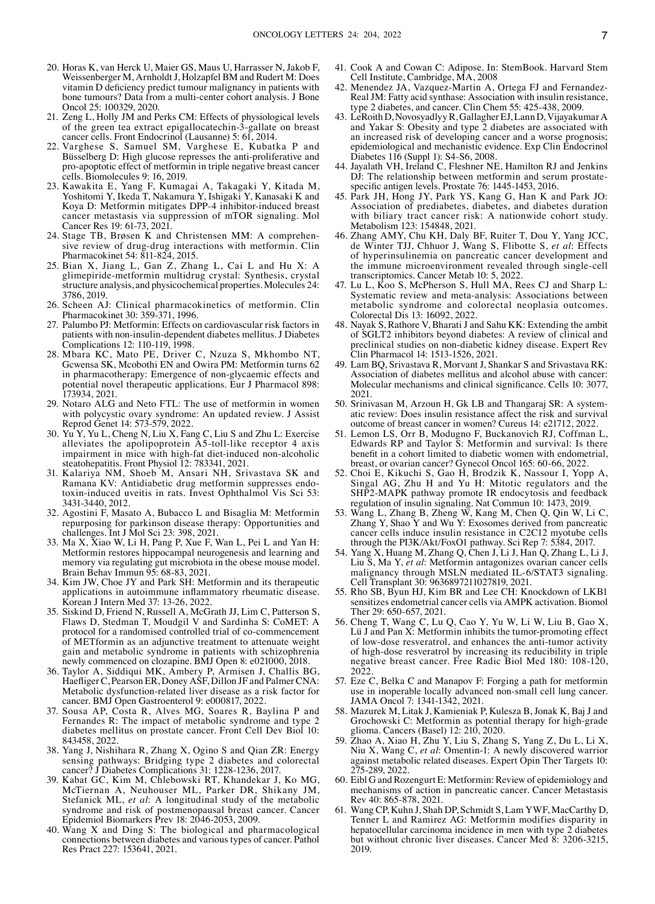- 20. Horas K, van Herck U, Maier GS, Maus U, Harrasser N, Jakob F, Weissenberger M, Arnholdt J, Holzapfel BM and Rudert M: Does vitamin D deficiency predict tumour malignancy in patients with bone tumours? Data from a multi-center cohort analysis. J Bone Oncol 25: 100329, 2020.
- 21. Zeng L, Holly JM and Perks CM: Effects of physiological levels of the green tea extract epigallocatechin‑3‑gallate on breast cancer cells. Front Endocrinol (Lausanne) 5: 61, 2014.
- 22. Varghese S, Samuel SM, Varghese E, Kubatka P and Büsselberg D: High glucose represses the anti-proliferative and pro‑apoptotic effect of metformin in triple negative breast cancer cells. Biomolecules 9: 16, 2019.
- 23. Kawakita E, Yang F, Kumagai A, Takagaki Y, Kitada M, Yoshitomi Y, Ikeda T, Nakamura Y, Ishigaki Y, Kanasaki K and Koya D: Metformin mitigates DPP-4 inhibitor-induced breast cancer metastasis via suppression of mTOR signaling. Mol Cancer Res 19: 61‑73, 2021.
- 24. Stage TB, Brøsen K and Christensen MM: A comprehensive review of drug-drug interactions with metformin. Clin Pharmacokinet 54: 811‑824, 2015.
- 25. Bian X, Jiang L, Gan Z, Zhang L, Cai L and Hu X: A glimepiride‑metformin multidrug crystal: Synthesis, crystal structure analysis, and physicochemical properties. Molecules 24: 3786, 2019.
- 26. Scheen AJ: Clinical pharmacokinetics of metformin. Clin Pharmacokinet 30: 359‑371, 1996.
- 27. Palumbo PJ: Metformin: Effects on cardiovascular risk factors in patients with non‑insulin‑dependent diabetes mellitus. J Diabetes Complications 12: 110‑119, 1998.
- 28. Mbara KC, Mato PE, Driver C, Nzuza S, Mkhombo NT, Gcwensa SK, Mcobothi EN and Owira PM: Metformin turns 62 in pharmacotherapy: Emergence of non‑glycaemic effects and potential novel therapeutic applications. Eur J Pharmacol 898: 173934, 2021.
- 29. Notaro ALG and Neto FTL: The use of metformin in women with polycystic ovary syndrome: An updated review. J Assist Reprod Genet 14: 573‑579, 2022.
- 30. Yu Y, Yu L, Cheng N, Liu X, Fang C, Liu S and Zhu L: Exercise alleviates the apolipoprotein A5-toll-like receptor 4 axis impairment in mice with high-fat diet-induced non-alcoholic steatohepatitis. Front Physiol 12: 783341, 2021.
- 31. Kalariya NM, Shoeb M, Ansari NH, Srivastava SK and Ramana KV: Antidiabetic drug metformin suppresses endo‑ toxin‑induced uveitis in rats. Invest Ophthalmol Vis Sci 53: 3431‑3440, 2012.
- 32. Agostini F, Masato A, Bubacco L and Bisaglia M: Metformin repurposing for parkinson disease therapy: Opportunities and challenges. Int J Mol Sci 23: 398, 2021.
- 33. Ma X, Xiao W, Li H, Pang P, Xue F, Wan L, Pei L and Yan H: Metformin restores hippocampal neurogenesis and learning and memory via regulating gut microbiota in the obese mouse model. Brain Behav Immun 95: 68‑83, 2021.
- 34. Kim JW, Choe JY and Park SH: Metformin and its therapeutic applications in autoimmune inflammatory rheumatic disease. Korean J Intern Med 37: 13‑26, 2022.
- 35. Siskind D, Friend N, Russell A, McGrath JJ, Lim C, Patterson S, Flaws D, Stedman T, Moudgil V and Sardinha S: CoMET: A protocol for a randomised controlled trial of co‑commencement of METformin as an adjunctive treatment to attenuate weight gain and metabolic syndrome in patients with schizophrenia newly commenced on clozapine. BMJ Open 8: e021000, 2018.
- 36. Taylor A, Siddiqui MK, Ambery P, Armisen J, Challis BG, Haefliger C, Pearson ER, Doney ASF, Dillon JF and Palmer CNA: Metabolic dysfunction‑related liver disease as a risk factor for cancer. BMJ Open Gastroenterol 9: e000817, 2022.
- 37. Sousa AP, Costa R, Alves MG, Soares R, Baylina P and Fernandes R: The impact of metabolic syndrome and type 2 diabetes mellitus on prostate cancer. Front Cell Dev Biol 10: 843458, 2022.
- 38. Yang J, Nishihara R, Zhang X, Ogino S and Qian ZR: Energy sensing pathways: Bridging type 2 diabetes and colorectal cancer? J Diabetes Complications 31: 1228‑1236, 2017.
- 39. Kabat GC, Kim M, Chlebowski RT, Khandekar J, Ko MG, McTiernan A, Neuhouser ML, Parker DR, Shikany JM, Stefanick ML, *et al*: A longitudinal study of the metabolic syndrome and risk of postmenopausal breast cancer. Cancer Epidemiol Biomarkers Prev 18: 2046‑2053, 2009.
- 40. Wang X and Ding S: The biological and pharmacological connections between diabetes and various types of cancer. Pathol Res Pract 227: 153641, 2021.
- 41. Cook A and Cowan C: Adipose. In: StemBook. Harvard Stem Cell Institute, Cambridge, MA, 2008
- 42. Menendez JA, Vazquez-Martin A, Ortega FJ and Fernandez-RealJM: Fatty acid synthase: Association with insulin resistance, type 2 diabetes, and cancer. Clin Chem 55: 425‑438, 2009.
- 43. LeRoith D, NovosyadlyyR, Gallagher EJ, Lann D, Vijayakumar A and Yakar S: Obesity and type 2 diabetes are associated with an increased risk of developing cancer and a worse prognosis; epidemiological and mechanistic evidence. Exp Clin Endocrinol Diabetes 116 (Suppl 1): S4‑S6, 2008.
- 44. Jayalath VH, Ireland C, Fleshner NE, Hamilton RJ and Jenkins DJ: The relationship between metformin and serum prostatespecific antigen levels. Prostate 76: 1445-1453, 2016.
- 45. Park JH, Hong JY, Park YS, Kang G, Han K and Park JO: Association of prediabetes, diabetes, and diabetes duration with biliary tract cancer risk: A nationwide cohort study. Metabolism 123: 154848, 2021.
- 46. Zhang AMY, Chu KH, Daly BF, Ruiter T, Dou Y, Yang JCC, de Winter TJJ, Chhuor J, Wang S, Flibotte S, *et al*: Effects of hyperinsulinemia on pancreatic cancer development and the immune microenvironment revealed through single-cell transcriptomics. Cancer Metab 10: 5, 2022.
- 47. Lu L, Koo S, McPherson S, Hull MA, Rees CJ and Sharp L: Systematic review and meta-analysis: Associations between metabolic syndrome and colorectal neoplasia outcomes. Colorectal Dis 13: 16092, 2022.
- 48. Nayak S, Rathore V, Bharati J and Sahu KK: Extending the ambit of SGLT2 inhibitors beyond diabetes: A review of clinical and preclinical studies on non‑diabetic kidney disease. Expert Rev Clin Pharmacol 14: 1513‑1526, 2021.
- 49. Lam BQ, Srivastava R, Morvant J, Shankar S and Srivastava RK: Association of diabetes mellitus and alcohol abuse with cancer: Molecular mechanisms and clinical significance. Cells 10: 3077, 2021.
- 50. Srinivasan M, Arzoun H, Gk LB and Thangaraj SR: A systematic review: Does insulin resistance affect the risk and survival outcome of breast cancer in women? Cureus 14: e21712, 2022.
- 51. Lemon LS, Orr B, Modugno F, Buckanovich RJ, Coffman L, Edwards RP and Taylor S: Metformin and survival: Is there benefit in a cohort limited to diabetic women with endometrial, breast, or ovarian cancer? Gynecol Oncol 165: 60‑66, 2022.
- 52. Choi E, Kikuchi S, Gao H, Brodzik K, Nassour I, Yopp A, Singal AG, Zhu H and Yu H: Mitotic regulators and the SHP2‑MAPK pathway promote IR endocytosis and feedback regulation of insulin signaling. Nat Commun 10: 1473, 2019.
- 53. Wang L, Zhang B, Zheng W, Kang M, Chen Q, Qin W, Li C, Zhang Y, Shao Y and Wu Y: Exosomes derived from pancreatic cancer cells induce insulin resistance in C2C12 myotube cells through the PI3K/Akt/FoxO1 pathway. Sci Rep 7: 5384, 2017.
- 54. Yang X, Huang M, Zhang Q, Chen J, Li J, Han Q, Zhang L, Li J, Liu S, Ma Y, *et al*: Metformin antagonizes ovarian cancer cells malignancy through MSLN mediated IL‑6/STAT3 signaling. Cell Transplant 30: 9636897211027819, 2021.
- 55. Rho SB, Byun HJ, Kim BR and Lee CH: Knockdown of LKB1 sensitizes endometrial cancer cells via AMPK activation. Biomol Ther 29: 650‑657, 2021.
- 56. Cheng T, Wang C, Lu Q, Cao Y, Yu W, Li W, Liu B, Gao X, Lü J and Pan X: Metformin inhibits the tumor-promoting effect of low‑dose resveratrol, and enhances the anti‑tumor activity of high‑dose resveratrol by increasing its reducibility in triple negative breast cancer. Free Radic Biol Med 180: 108‑120, 2022.
- 57. Eze C, Belka C and Manapov F: Forging a path for metformin use in inoperable locally advanced non‑small cell lung cancer. JAMA Oncol 7: 1341‑1342, 2021.
- 58. Mazurek M, Litak J, Kamieniak P, Kulesza B, Jonak K, Baj J and Grochowski C: Metformin as potential therapy for high-grade glioma. Cancers (Basel) 12: 210, 2020.
- 59. Zhao A, Xiao H, Zhu Y, Liu S, Zhang S, Yang Z, Du L, Li X, Niu X, Wang C, *et al*: Omentin‑1: A newly discovered warrior against metabolic related diseases. Expert Opin Ther Targets 10: 275‑289, 2022.
- 60. Eibl G and Rozengurt E: Metformin: Review of epidemiology and mechanisms of action in pancreatic cancer. Cancer Metastasis Rev 40: 865‑878, 2021.
- 61. Wang CP, Kuhn J, Shah DP, Schmidt S, Lam YWF, MacCarthy D, Tenner L and Ramirez AG: Metformin modifies disparity in hepatocellular carcinoma incidence in men with type 2 diabetes but without chronic liver diseases. Cancer Med 8: 3206-3215, 2019.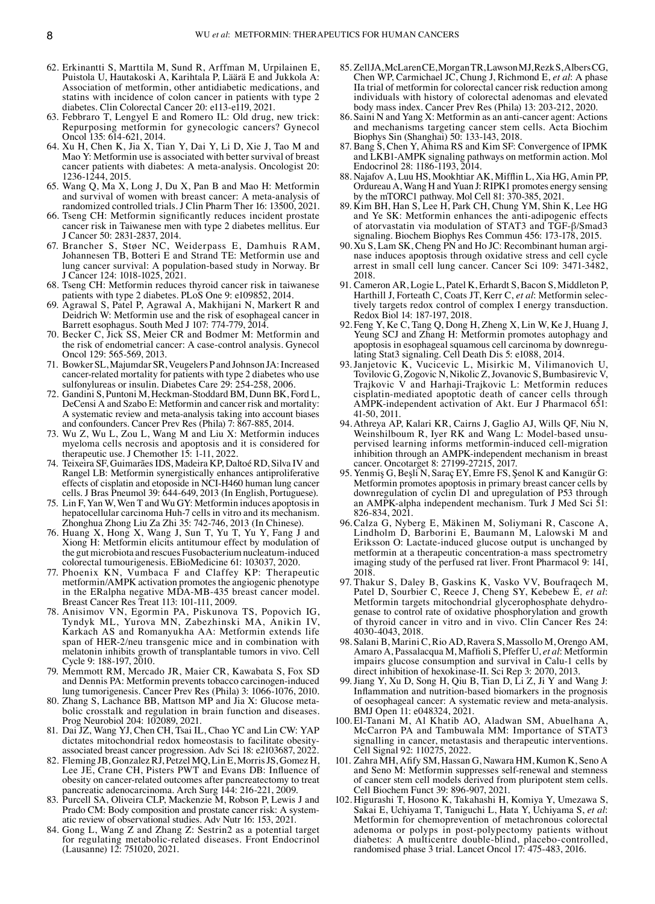- 62. Erkinantti S, Marttila M, Sund R, Arffman M, Urpilainen E, Puistola U, Hautakoski A, Karihtala P, Läärä E and Jukkola A: Association of metformin, other antidiabetic medications, and statins with incidence of colon cancer in patients with type 2 diabetes. Clin Colorectal Cancer 20: e113‑e119, 2021.
- 63. Febbraro T, Lengyel E and Romero IL: Old drug, new trick: Repurposing metformin for gynecologic cancers? Gynecol Oncol 135: 614‑621, 2014.
- 64. Xu H, Chen K, Jia X, Tian Y, Dai Y, Li D, Xie J, Tao M and Mao Y: Metformin use is associated with better survival of breast cancer patients with diabetes: A meta‑analysis. Oncologist 20: 1236‑1244, 2015.
- 65. Wang Q, Ma X, Long J, Du X, Pan B and Mao H: Metformin and survival of women with breast cancer: A meta-analysis of randomized controlled trials. J Clin Pharm Ther 16: 13500, 2021.
- 66. Tseng CH: Metformin significantly reduces incident prostate cancer risk in Taiwanese men with type 2 diabetes mellitus. Eur J Cancer 50: 2831‑2837, 2014.
- 67. Brancher S, Støer NC, Weiderpass E, Damhuis RAM, Johannesen TB, Botteri E and Strand TE: Metformin use and lung cancer survival: A population‑based study in Norway. Br J Cancer 124: 1018‑1025, 2021.
- 68. Tseng CH: Metformin reduces thyroid cancer risk in taiwanese patients with type 2 diabetes. PLoS One 9: e109852, 2014.
- 69. Agrawal S, Patel P, Agrawal A, Makhijani N, Markert R and Deidrich W: Metformin use and the risk of esophageal cancer in Barrett esophagus. South Med J 107: 774‑779, 2014.
- 70. Becker C, Jick SS, Meier CR and Bodmer M: Metformin and the risk of endometrial cancer: A case‑control analysis. Gynecol Oncol 129: 565‑569, 2013.
- 71. Bowker SL, Majumdar SR, Veugelers P and Johnson JA: Increased cancer‑related mortality for patients with type 2 diabetes who use sulfonylureas or insulin. Diabetes Care 29: 254‑258, 2006.
- 72. Gandini S, Puntoni M, Heckman‑Stoddard BM, Dunn BK, Ford L, DeCensi A and Szabo E: Metformin and cancer risk and mortality: A systematic review and meta‑analysis taking into account biases and confounders. Cancer Prev Res (Phila) 7: 867‑885, 2014.
- 73. Wu Z, Wu L, Zou L, Wang M and Liu X: Metformin induces myeloma cells necrosis and apoptosis and it is considered for therapeutic use. J Chemother 15: 1-11, 2022.
- Teixeira SF, Guimarães IDS, Madeira KP, Daltoé RD, Silva IV and Rangel LB: Metformin synergistically enhances antiproliferative effects of cisplatin and etoposide in NCI‑H460 human lung cancer cells. J Bras Pneumol 39: 644‑649, 2013 (In English, Portuguese).
- 75. Lin F, Yan W, Wen T and Wu GY: Metformin induces apoptosis in hepatocellular carcinoma Huh-7 cells in vitro and its mechanism. Zhonghua Zhong Liu Za Zhi 35: 742‑746, 2013 (In Chinese).
- 76. Huang X, Hong X, Wang J, Sun T, Yu T, Yu Y, Fang J and Xiong H: Metformin elicits antitumour effect by modulation of the gut microbiota and rescues Fusobacterium nucleatum‑induced colorectal tumourigenesis. EBioMedicine 61: 103037, 2020.
- 77. Phoenix KN, Vumbaca F and Claffey KP: Therapeutic metformin/AMPK activation promotes the angiogenic phenotype in the ERalpha negative MDA‑MB‑435 breast cancer model. Breast Cancer Res Treat 113: 101‑111, 2009.
- 78. Anisimov VN, Egormin PA, Piskunova TS, Popovich IG, Tyndyk ML, Yurova MN, Zabezhinski MA, Anikin IV, Karkach AS and Romanyukha AA: Metformin extends life span of HER-2/neu transgenic mice and in combination with melatonin inhibits growth of transplantable tumors in vivo. Cell Cycle 9: 188‑197, 2010.
- 79. Memmott RM, Mercado JR, Maier CR, Kawabata S, Fox SD and Dennis PA: Metformin prevents tobacco carcinogen‑induced lung tumorigenesis. Cancer Prev Res (Phila) 3: 1066‑1076, 2010.
- 80. Zhang S, Lachance BB, Mattson MP and Jia X: Glucose metabolic crosstalk and regulation in brain function and diseases. Prog Neurobiol 204: 102089, 2021.
- 81. Dai JZ, Wang YJ, Chen CH, Tsai IL, Chao YC and Lin CW: YAP dictates mitochondrial redox homeostasis to facilitate obesity‑ associated breast cancer progression. Adv Sci 18: e2103687, 2022.
- 82. Fleming JB, Gonzalez RJ, Petzel MQ, Lin E, MorrisJS, Gomez H, Lee JE, Crane CH, Pisters PWT and Evans DB: Influence of obesity on cancer‑related outcomes after pancreatectomy to treat pancreatic adenocarcinoma. Arch Surg 144: 216‑221, 2009.
- 83. Purcell SA, Oliveira CLP, Mackenzie M, Robson P, Lewis J and Prado CM: Body composition and prostate cancer risk: A systematic review of observational studies. Adv Nutr 16: 153, 2021.
- 84. Gong L, Wang Z and Zhang Z: Sestrin2 as a potential target for regulating metabolic‑related diseases. Front Endocrinol (Lausanne) 12: 751020, 2021.
- 85. ZellJA, McLarenCE, MorganTR, LawsonMJ, RezkS, AlbersCG, Chen WP, Carmichael JC, Chung J, Richmond E, *et al*: A phase IIa trial of metformin for colorectal cancer risk reduction among individuals with history of colorectal adenomas and elevated body mass index. Cancer Prev Res (Phila) 13: 203‑212, 2020.
- 86. Saini N and Yang X: Metformin as an anti-cancer agent: Actions and mechanisms targeting cancer stem cells. Acta Biochim Biophys Sin (Shanghai) 50: 133‑143, 2018.
- 87. Bang S, Chen Y, Ahima RS and Kim SF: Convergence of IPMK and LKB1‑AMPK signaling pathways on metformin action. Mol Endocrinol 28: 1186‑1193, 2014.
- 88. Najafov A, Luu HS, Mookhtiar AK, Mifflin L, Xia HG, Amin PP, Ordureau A, Wang H and Yuan J: RIPK1 promotes energy sensing by the mTORC1 pathway. Mol Cell 81: 370‑385, 2021.
- 89. Kim BH, Han S, Lee H, Park CH, Chung YM, Shin K, Lee HG and Ye SK: Metformin enhances the anti-adipogenic effects of atorvastatin via modulation of STAT3 and TGF‑β/Smad3 signaling. Biochem Biophys Res Commun 456: 173‑178, 2015.
- 90. Xu S, Lam SK, Cheng PN and Ho JC: Recombinant human arginase induces apoptosis through oxidative stress and cell cycle arrest in small cell lung cancer. Cancer Sci 109: 3471‑3482, 2018.
- 91. Cameron AR, Logie L, Patel K, Erhardt S, Bacon S, Middleton P, Harthill J, Forteath C, Coats JT, Kerr C, *et al*: Metformin selec‑ tively targets redox control of complex I energy transduction. Redox Biol 14: 187‑197, 2018.
- 92.Feng Y, Ke C, Tang Q, Dong H, Zheng X, Lin W, Ke J, Huang J, Yeung SCJ and Zhang H: Metformin promotes autophagy and apoptosis in esophageal squamous cell carcinoma by downregulating Stat3 signaling. Cell Death Dis 5: e1088, 2014.
- 93.Janjetovic K, Vucicevic L, Misirkic M, Vilimanovich U, Tovilovic G, Zogovic N, Nikolic Z, Jovanovic S, Bumbasirevic V, Trajkovic V and Harhaji‑Trajkovic L: Metformin reduces cisplatin‑mediated apoptotic death of cancer cells through AMPK‑independent activation of Akt. Eur J Pharmacol 651: 41‑50, 2011.
- 94. Athreya AP, Kalari KR, Cairns J, Gaglio AJ, Wills QF, Niu N, Weinshilboum R, Iyer RK and Wang L: Model-based unsupervised learning informs metformin-induced cell-migration inhibition through an AMPK‑independent mechanism in breast cancer. Oncotarget 8: 27199‑27215, 2017.
- 95. Yenmiş G, Beşli N, Saraç EY, Emre FS, Şenol K and Kanıgür G: Metformin promotes apoptosis in primary breast cancer cells by downregulation of cyclin D1 and upregulation of P53 through an AMPK‑alpha independent mechanism. Turk J Med Sci 51: 826‑834, 2021.
- 96.Calza G, Nyberg E, Mäkinen M, Soliymani R, Cascone A, Lindholm D, Barborini E, Baumann M, Lalowski M and Eriksson O: Lactate‑induced glucose output is unchanged by metformin at a therapeutic concentration–a mass spectrometry imaging study of the perfused rat liver. Front Pharmacol 9: 141, 2018.
- 97. Thakur S, Daley B, Gaskins K, Vasko VV, Boufraqech M, Patel D, Sourbier C, Reece J, Cheng SY, Kebebew E*, et al*: Metformin targets mitochondrial glycerophosphate dehydrogenase to control rate of oxidative phosphorylation and growth of thyroid cancer in vitro and in vivo. Clin Cancer Res 24: 4030‑4043, 2018.
- 98. Salani B, Marini C, Rio AD, Ravera S, Massollo M, Orengo AM, Amaro A, Passalacqua M, Maffioli S, Pfeffer U, *et al*: Metformin impairs glucose consumption and survival in Calu-1 cells by direct inhibition of hexokinase‑II. Sci Rep 3: 2070, 2013.
- 99.Jiang Y, Xu D, Song H, Qiu B, Tian D, Li Z, Ji Y and Wang J: Inflammation and nutrition‑based biomarkers in the prognosis of oesophageal cancer: A systematic review and meta‑analysis. BMJ Open 11: e048324, 2021.
- 100. El‑Tanani M, Al Khatib AO, Aladwan SM, Abuelhana A, McCarron PA and Tambuwala MM: Importance of STAT3 signalling in cancer, metastasis and therapeutic interventions. Cell Signal 92: 110275, 2022.
- 101. Zahra MH, Afify SM, Hassan G, Nawara HM, Kumon K, Seno A and Seno M: Metformin suppresses self‑renewal and stemness of cancer stem cell models derived from pluripotent stem cells. Cell Biochem Funct 39: 896‑907, 2021.
- 102. Higurashi T, Hosono K, Takahashi H, Komiya Y, Umezawa S, Sakai E, Uchiyama T, Taniguchi L, Hata Y, Uchiyama S, *et al*: Metformin for chemoprevention of metachronous colorectal adenoma or polyps in post-polypectomy patients without diabetes: A multicentre double‑blind, placebo‑controlled, randomised phase 3 trial. Lancet Oncol 17: 475‑483, 2016.